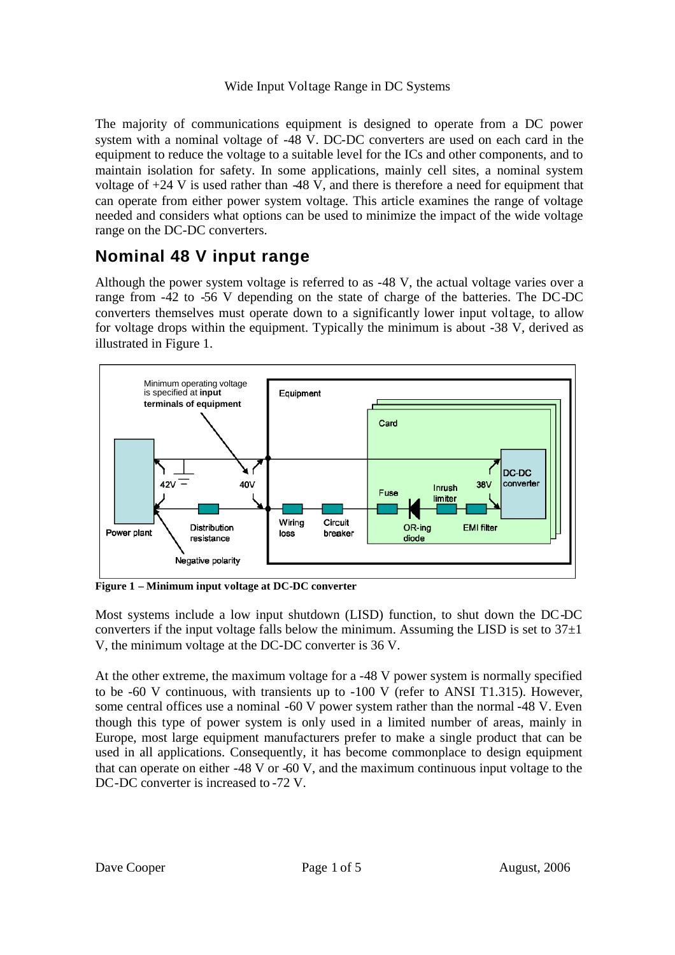#### Wide Input Voltage Range in DC Systems

The majority of communications equipment is designed to operate from a DC power system with a nominal voltage of -48 V. DC-DC converters are used on each card in the equipment to reduce the voltage to a suitable level for the ICs and other components, and to maintain isolation for safety. In some applications, mainly cell sites, a nominal system voltage of  $+24$  V is used rather than  $-48$  V, and there is therefore a need for equipment that can operate from either power system voltage. This article examines the range of voltage needed and considers what options can be used to minimize the impact of the wide voltage range on the DC-DC converters.

## **Nominal 48 V input range**

Although the power system voltage is referred to as -48 V, the actual voltage varies over a range from -42 to -56 V depending on the state of charge of the batteries. The DC-DC converters themselves must operate down to a significantly lower input voltage, to allow for voltage drops within the equipment. Typically the minimum is about -38 V, derived as illustrated in Figure 1.



**Figure 1 – Minimum input voltage at DC-DC converter**

Most systems include a low input shutdown (LISD) function, to shut down the DC-DC converters if the input voltage falls below the minimum. Assuming the LISD is set to  $37\pm1$ V, the minimum voltage at the DC-DC converter is 36 V.

At the other extreme, the maximum voltage for a -48 V power system is normally specified to be -60 V continuous, with transients up to -100 V (refer to ANSI T1.315). However, some central offices use a nominal -60 V power system rather than the normal -48 V. Even though this type of power system is only used in a limited number of areas, mainly in Europe, most large equipment manufacturers prefer to make a single product that can be used in all applications. Consequently, it has become commonplace to design equipment that can operate on either -48 V or -60 V, and the maximum continuous input voltage to the DC-DC converter is increased to -72 V.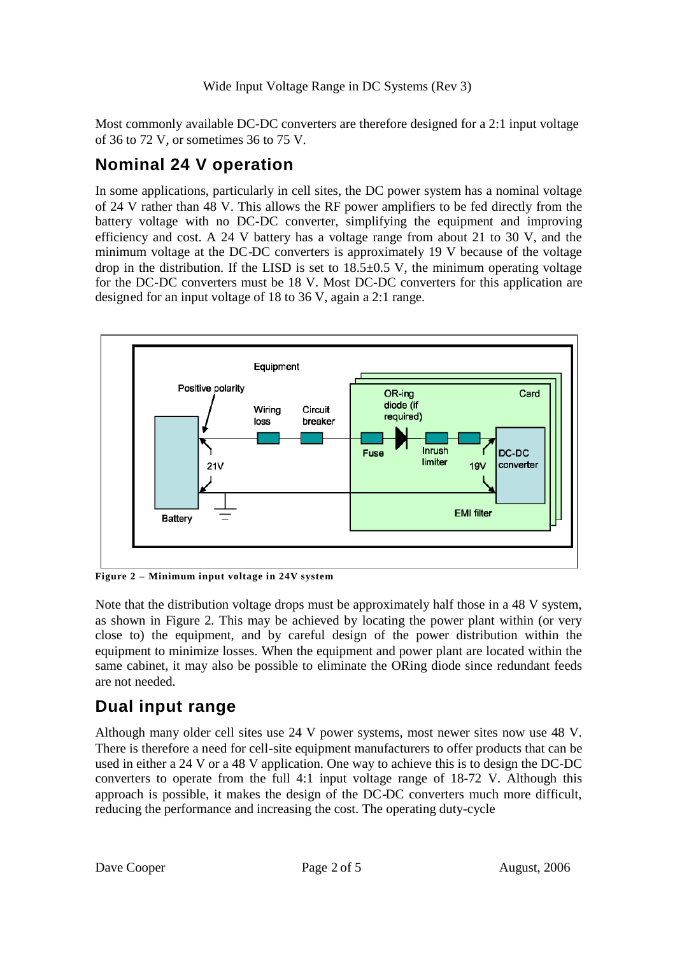Most commonly available DC-DC converters are therefore designed for a 2:1 input voltage of 36 to 72 V, or sometimes 36 to 75 V.

## **Nominal 24 V operation**

In some applications, particularly in cell sites, the DC power system has a nominal voltage of 24 V rather than 48 V. This allows the RF power amplifiers to be fed directly from the battery voltage with no DC-DC converter, simplifying the equipment and improving efficiency and cost. A 24 V battery has a voltage range from about 21 to 30 V, and the minimum voltage at the DC-DC converters is approximately 19 V because of the voltage drop in the distribution. If the LISD is set to  $18.5\pm0.5$  V, the minimum operating voltage for the DC-DC converters must be 18 V. Most DC-DC converters for this application are designed for an input voltage of 18 to 36 V, again a 2:1 range.



**Figure 2 – Minimum input voltage in 24V system**

Note that the distribution voltage drops must be approximately half those in a 48 V system, as shown in Figure 2. This may be achieved by locating the power plant within (or very close to) the equipment, and by careful design of the power distribution within the equipment to minimize losses. When the equipment and power plant are located within the same cabinet, it may also be possible to eliminate the ORing diode since redundant feeds are not needed.

### **Dual input range**

Although many older cell sites use 24 V power systems, most newer sites now use 48 V. There is therefore a need for cell-site equipment manufacturers to offer products that can be used in either a 24 V or a 48 V application. One way to achieve this is to design the DC-DC converters to operate from the full 4:1 input voltage range of 18-72 V. Although this approach is possible, it makes the design of the DC-DC converters much more difficult, reducing the performance and increasing the cost. The operating duty-cycle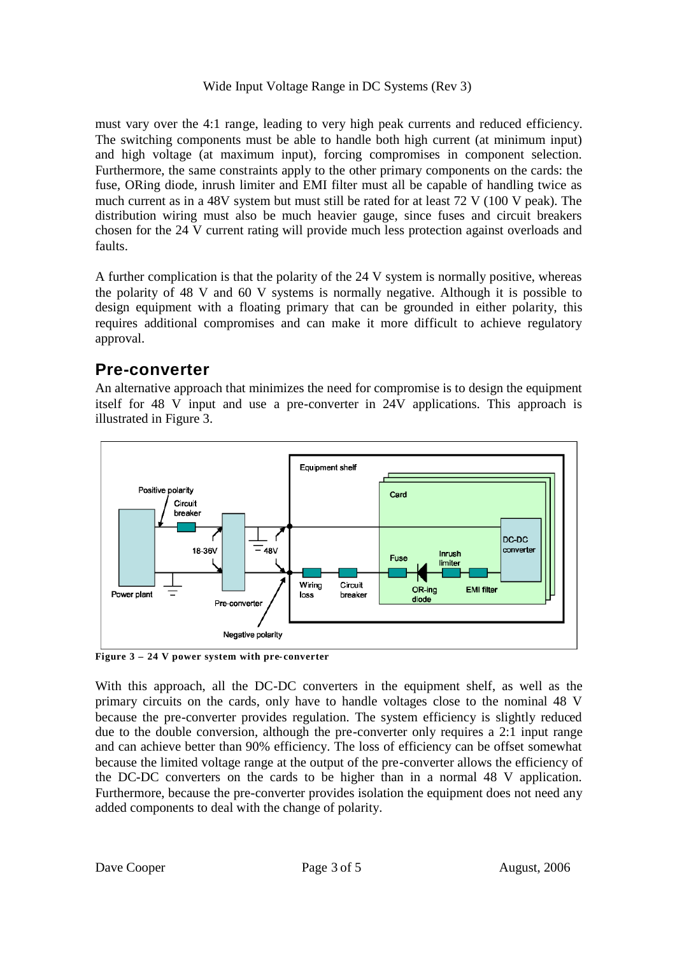Wide Input Voltage Range in DC Systems (Rev 3)

must vary over the 4:1 range, leading to very high peak currents and reduced efficiency. The switching components must be able to handle both high current (at minimum input) and high voltage (at maximum input), forcing compromises in component selection. Furthermore, the same constraints apply to the other primary components on the cards: the fuse, ORing diode, inrush limiter and EMI filter must all be capable of handling twice as much current as in a 48V system but must still be rated for at least 72 V (100 V peak). The distribution wiring must also be much heavier gauge, since fuses and circuit breakers chosen for the 24 V current rating will provide much less protection against overloads and faults.

A further complication is that the polarity of the 24 V system is normally positive, whereas the polarity of 48 V and 60 V systems is normally negative. Although it is possible to design equipment with a floating primary that can be grounded in either polarity, this requires additional compromises and can make it more difficult to achieve regulatory approval.

### **Pre-converter**

An alternative approach that minimizes the need for compromise is to design the equipment itself for 48 V input and use a pre-converter in 24V applications. This approach is illustrated in Figure 3.



**Figure 3 – 24 V power system with pre- converter**

With this approach, all the DC-DC converters in the equipment shelf, as well as the primary circuits on the cards, only have to handle voltages close to the nominal 48 V because the pre-converter provides regulation. The system efficiency is slightly reduced due to the double conversion, although the pre-converter only requires a 2:1 input range and can achieve better than 90% efficiency. The loss of efficiency can be offset somewhat because the limited voltage range at the output of the pre-converter allows the efficiency of the DC-DC converters on the cards to be higher than in a normal 48 V application. Furthermore, because the pre-converter provides isolation the equipment does not need any added components to deal with the change of polarity.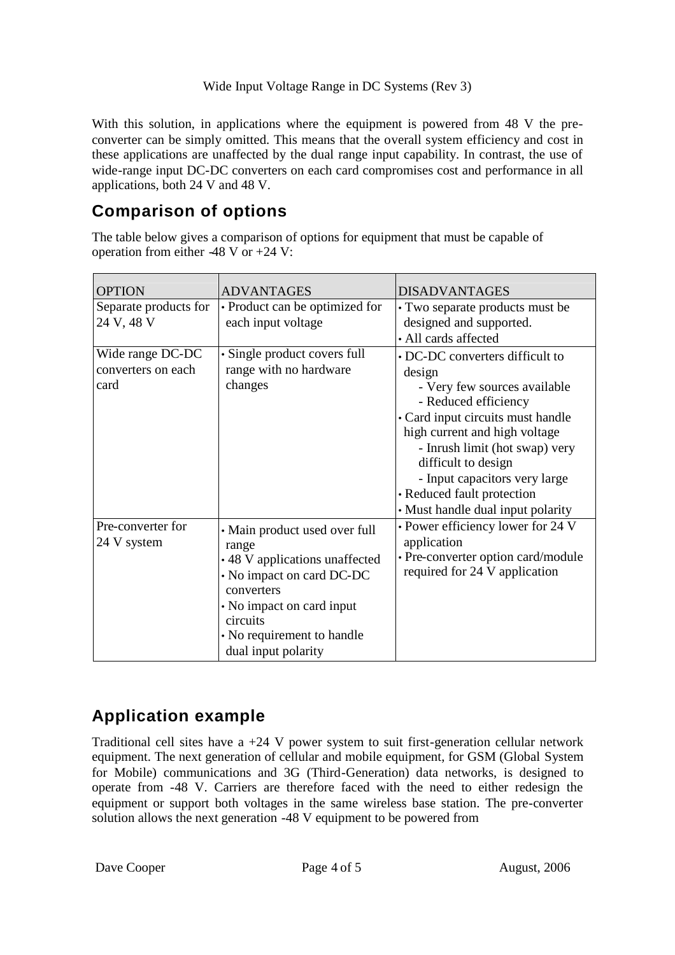#### Wide Input Voltage Range in DC Systems (Rev 3)

With this solution, in applications where the equipment is powered from 48 V the preconverter can be simply omitted. This means that the overall system efficiency and cost in these applications are unaffected by the dual range input capability. In contrast, the use of wide-range input DC-DC converters on each card compromises cost and performance in all applications, both 24 V and 48 V.

### **Comparison of options**

The table below gives a comparison of options for equipment that must be capable of operation from either  $-48$  V or  $+24$  V:

| <b>OPTION</b>                                  | <b>ADVANTAGES</b>                                                                                                                                                                                                 | <b>DISADVANTAGES</b>                                                                                                                                                                                                                                                                                                                 |
|------------------------------------------------|-------------------------------------------------------------------------------------------------------------------------------------------------------------------------------------------------------------------|--------------------------------------------------------------------------------------------------------------------------------------------------------------------------------------------------------------------------------------------------------------------------------------------------------------------------------------|
| Separate products for<br>24 V, 48 V            | • Product can be optimized for<br>each input voltage                                                                                                                                                              | • Two separate products must be<br>designed and supported.<br>• All cards affected                                                                                                                                                                                                                                                   |
| Wide range DC-DC<br>converters on each<br>card | · Single product covers full<br>range with no hardware<br>changes                                                                                                                                                 | • DC-DC converters difficult to<br>design<br>- Very few sources available<br>- Reduced efficiency<br>• Card input circuits must handle<br>high current and high voltage<br>- Inrush limit (hot swap) very<br>difficult to design<br>- Input capacitors very large<br>• Reduced fault protection<br>• Must handle dual input polarity |
| Pre-converter for<br>24 V system               | • Main product used over full<br>range<br>• 48 V applications unaffected<br>• No impact on card DC-DC<br>converters<br>• No impact on card input<br>circuits<br>• No requirement to handle<br>dual input polarity | • Power efficiency lower for 24 V<br>application<br>• Pre-converter option card/module<br>required for 24 V application                                                                                                                                                                                                              |

# **Application example**

Traditional cell sites have a +24 V power system to suit first-generation cellular network equipment. The next generation of cellular and mobile equipment, for GSM (Global System for Mobile) communications and 3G (Third-Generation) data networks, is designed to operate from -48 V. Carriers are therefore faced with the need to either redesign the equipment or support both voltages in the same wireless base station. The pre-converter solution allows the next generation -48 V equipment to be powered from